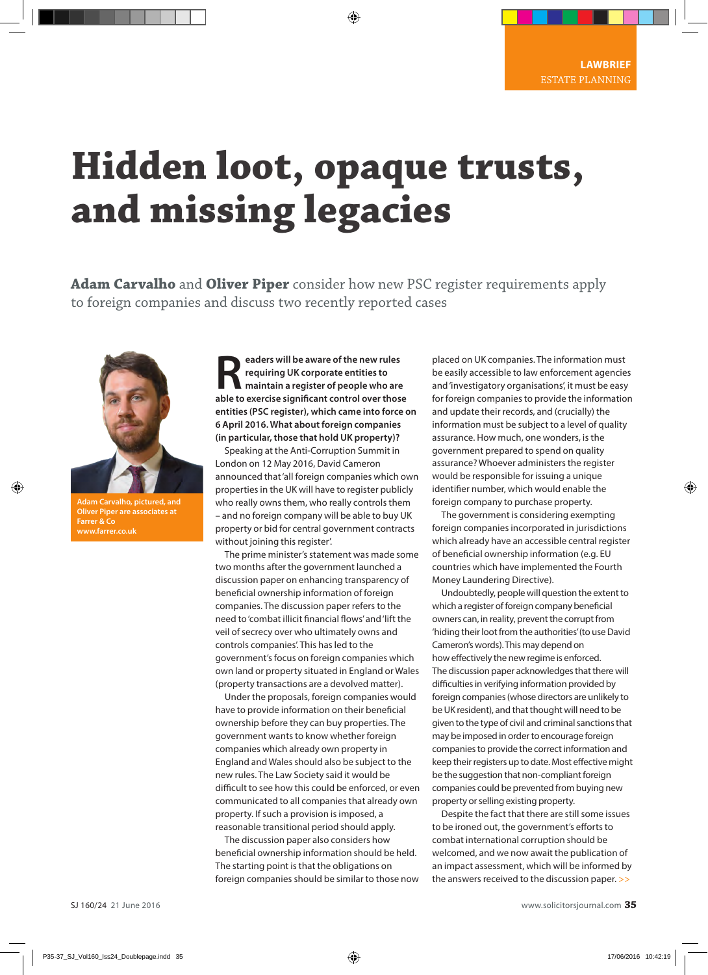## **Hidden loot, opaque trusts, and missing legacies**

**Adam Carvalho** and **Oliver Piper** consider how new PSC register requirements apply to foreign companies and discuss two recently reported cases



**Adam Carvalho, pictured, and Oliver Piper are associates at Farrer & Co**

**Readers will be aware of the new rules<br>
requiring UK corporate entities to<br>
able to exercise significant control ever these requiring UK corporate entities to able to exercise significant control over those entities (PSC register), which came into force on 6 April 2016. What about foreign companies (in particular, those that hold UK property)?**

Speaking at the Anti-Corruption Summit in London on 12 May 2016, David Cameron announced that 'all foreign companies which own properties in the UK will have to register publicly who really owns them, who really controls them – and no foreign company will be able to buy UK property or bid for central government contracts without joining this register'.

The prime minister's statement was made some two months after the government launched a discussion paper on enhancing transparency of beneficial ownership information of foreign companies. The discussion paper refers to the need to 'combat illicit financial flows' and 'lift the veil of secrecy over who ultimately owns and controls companies'. This has led to the government's focus on foreign companies which own land or property situated in England or Wales (property transactions are a devolved matter).

Under the proposals, foreign companies would have to provide information on their beneficial ownership before they can buy properties. The government wants to know whether foreign companies which already own property in England and Wales should also be subject to the new rules. The Law Society said it would be difficult to see how this could be enforced, or even communicated to all companies that already own property. If such a provision is imposed, a reasonable transitional period should apply.

The discussion paper also considers how beneficial ownership information should be held. The starting point is that the obligations on foreign companies should be similar to those now

placed on UK companies. The information must be easily accessible to law enforcement agencies and 'investigatory organisations', it must be easy for foreign companies to provide the information and update their records, and (crucially) the information must be subject to a level of quality assurance. How much, one wonders, is the government prepared to spend on quality assurance? Whoever administers the register would be responsible for issuing a unique identifier number, which would enable the foreign company to purchase property.

The government is considering exempting foreign companies incorporated in jurisdictions which already have an accessible central register of beneficial ownership information (e.g. EU countries which have implemented the Fourth Money Laundering Directive).

Undoubtedly, people will question the extent to which a register of foreign company beneficial owners can, in reality, prevent the corrupt from 'hiding their loot from the authorities' (to use David Cameron's words). This may depend on how effectively the new regime is enforced. The discussion paper acknowledges that there will difficulties in verifying information provided by foreign companies (whose directors are unlikely to be UK resident), and that thought will need to be given to the type of civil and criminal sanctions that may be imposed in order to encourage foreign companies to provide the correct information and keep their registers up to date. Most effective might be the suggestion that non-compliant foreign companies could be prevented from buying new property or selling existing property.

Despite the fact that there are still some issues to be ironed out, the government's efforts to combat international corruption should be welcomed, and we now await the publication of an impact assessment, which will be informed by the answers received to the discussion paper. >>